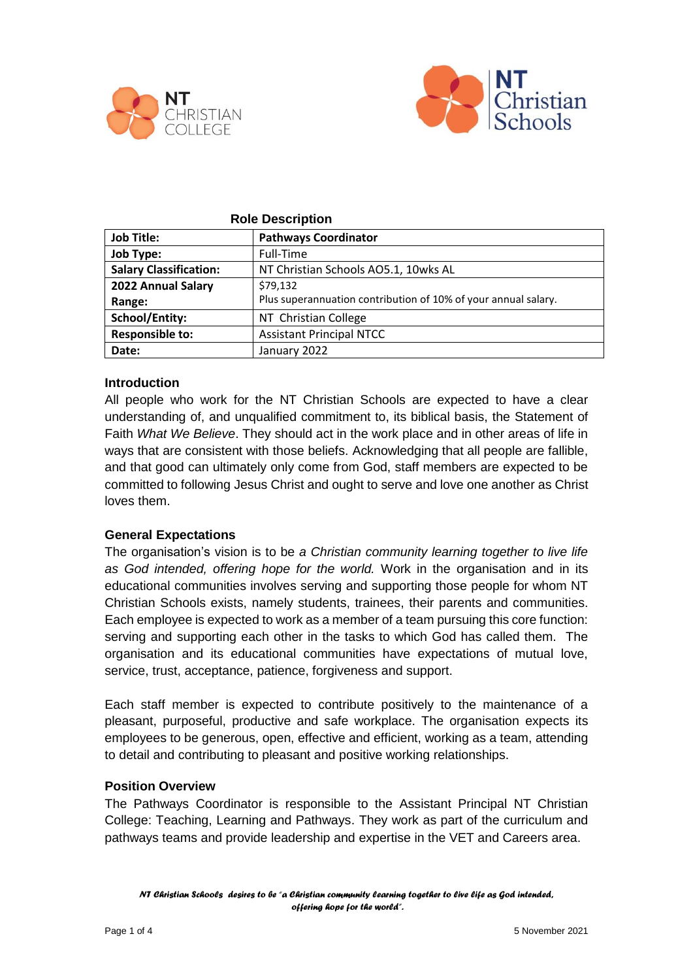



| <b>Role Description</b>       |                                                                |
|-------------------------------|----------------------------------------------------------------|
| <b>Job Title:</b>             | <b>Pathways Coordinator</b>                                    |
| <b>Job Type:</b>              | Full-Time                                                      |
| <b>Salary Classification:</b> | NT Christian Schools AO5.1, 10wks AL                           |
| 2022 Annual Salary            | \$79,132                                                       |
| Range:                        | Plus superannuation contribution of 10% of your annual salary. |
| <b>School/Entity:</b>         | NT Christian College                                           |
| <b>Responsible to:</b>        | <b>Assistant Principal NTCC</b>                                |
| Date:                         | January 2022                                                   |

### **Introduction**

All people who work for the NT Christian Schools are expected to have a clear understanding of, and unqualified commitment to, its biblical basis, the Statement of Faith *What We Believe*. They should act in the work place and in other areas of life in ways that are consistent with those beliefs. Acknowledging that all people are fallible, and that good can ultimately only come from God, staff members are expected to be committed to following Jesus Christ and ought to serve and love one another as Christ loves them.

### **General Expectations**

The organisation's vision is to be *a Christian community learning together to live life as God intended, offering hope for the world.* Work in the organisation and in its educational communities involves serving and supporting those people for whom NT Christian Schools exists, namely students, trainees, their parents and communities. Each employee is expected to work as a member of a team pursuing this core function: serving and supporting each other in the tasks to which God has called them. The organisation and its educational communities have expectations of mutual love, service, trust, acceptance, patience, forgiveness and support.

Each staff member is expected to contribute positively to the maintenance of a pleasant, purposeful, productive and safe workplace. The organisation expects its employees to be generous, open, effective and efficient, working as a team, attending to detail and contributing to pleasant and positive working relationships.

#### **Position Overview**

The Pathways Coordinator is responsible to the Assistant Principal NT Christian College: Teaching, Learning and Pathways. They work as part of the curriculum and pathways teams and provide leadership and expertise in the VET and Careers area.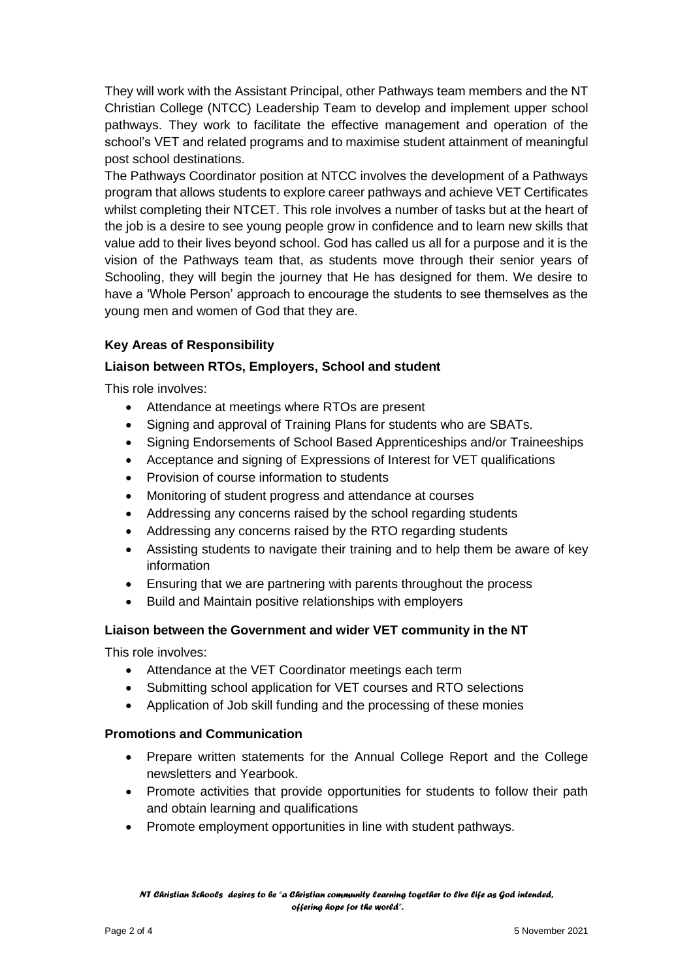They will work with the Assistant Principal, other Pathways team members and the NT Christian College (NTCC) Leadership Team to develop and implement upper school pathways. They work to facilitate the effective management and operation of the school's VET and related programs and to maximise student attainment of meaningful post school destinations.

The Pathways Coordinator position at NTCC involves the development of a Pathways program that allows students to explore career pathways and achieve VET Certificates whilst completing their NTCET. This role involves a number of tasks but at the heart of the job is a desire to see young people grow in confidence and to learn new skills that value add to their lives beyond school. God has called us all for a purpose and it is the vision of the Pathways team that, as students move through their senior years of Schooling, they will begin the journey that He has designed for them. We desire to have a 'Whole Person' approach to encourage the students to see themselves as the young men and women of God that they are.

# **Key Areas of Responsibility**

### **Liaison between RTOs, Employers, School and student**

This role involves:

- Attendance at meetings where RTOs are present
- Signing and approval of Training Plans for students who are SBATs.
- Signing Endorsements of School Based Apprenticeships and/or Traineeships
- Acceptance and signing of Expressions of Interest for VET qualifications
- Provision of course information to students
- Monitoring of student progress and attendance at courses
- Addressing any concerns raised by the school regarding students
- Addressing any concerns raised by the RTO regarding students
- Assisting students to navigate their training and to help them be aware of key information
- Ensuring that we are partnering with parents throughout the process
- Build and Maintain positive relationships with employers

### **Liaison between the Government and wider VET community in the NT**

This role involves:

- Attendance at the VET Coordinator meetings each term
- Submitting school application for VET courses and RTO selections
- Application of Job skill funding and the processing of these monies

### **Promotions and Communication**

- Prepare written statements for the Annual College Report and the College newsletters and Yearbook.
- Promote activities that provide opportunities for students to follow their path and obtain learning and qualifications
- Promote employment opportunities in line with student pathways.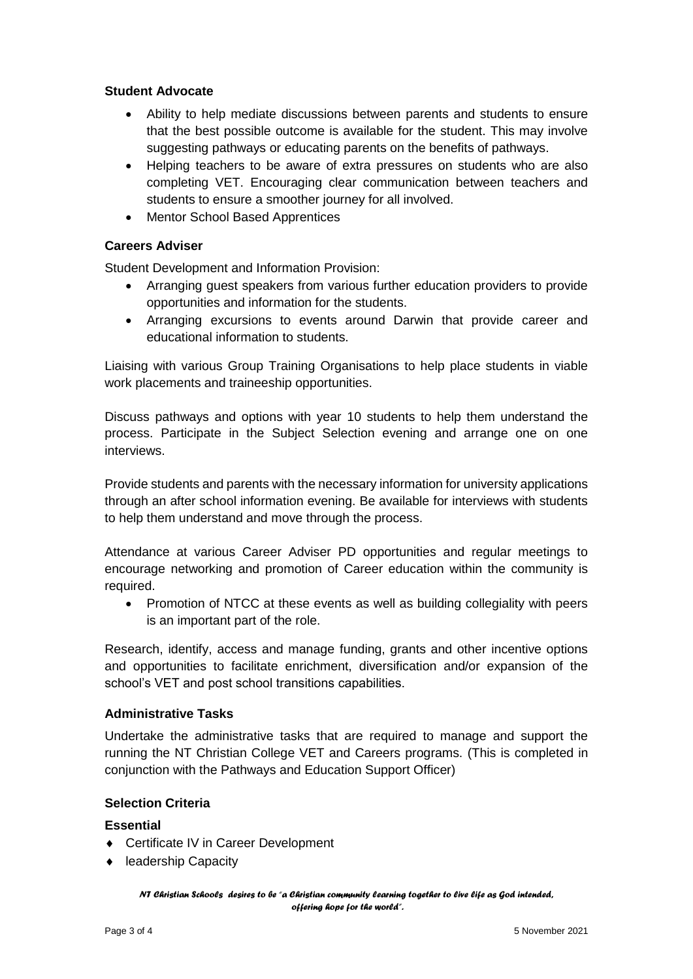### **Student Advocate**

- Ability to help mediate discussions between parents and students to ensure that the best possible outcome is available for the student. This may involve suggesting pathways or educating parents on the benefits of pathways.
- Helping teachers to be aware of extra pressures on students who are also completing VET. Encouraging clear communication between teachers and students to ensure a smoother journey for all involved.
- Mentor School Based Apprentices

### **Careers Adviser**

Student Development and Information Provision:

- Arranging guest speakers from various further education providers to provide opportunities and information for the students.
- Arranging excursions to events around Darwin that provide career and educational information to students.

Liaising with various Group Training Organisations to help place students in viable work placements and traineeship opportunities.

Discuss pathways and options with year 10 students to help them understand the process. Participate in the Subject Selection evening and arrange one on one interviews.

Provide students and parents with the necessary information for university applications through an after school information evening. Be available for interviews with students to help them understand and move through the process.

Attendance at various Career Adviser PD opportunities and regular meetings to encourage networking and promotion of Career education within the community is required.

• Promotion of NTCC at these events as well as building collegiality with peers is an important part of the role.

Research, identify, access and manage funding, grants and other incentive options and opportunities to facilitate enrichment, diversification and/or expansion of the school's VET and post school transitions capabilities.

### **Administrative Tasks**

Undertake the administrative tasks that are required to manage and support the running the NT Christian College VET and Careers programs. (This is completed in conjunction with the Pathways and Education Support Officer)

# **Selection Criteria**

# **Essential**

- ◆ Certificate IV in Career Development
- ◆ leadership Capacity